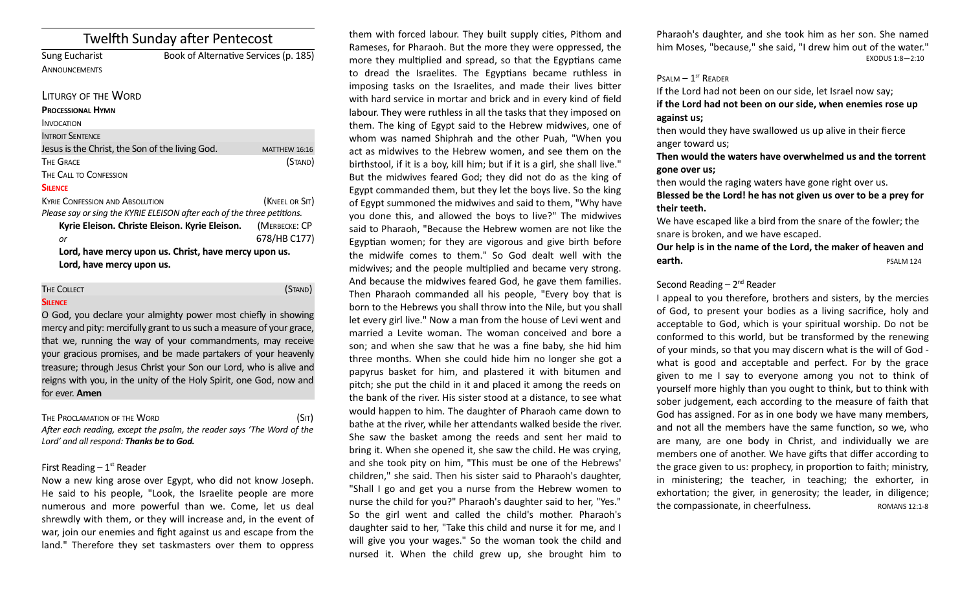# Twelfth Sunday after Pentecost

| <b>Sung Eucharist</b> | Book of Alternative Services (p. 185) |
|-----------------------|---------------------------------------|
| <b>ANNOUNCEMENTS</b>  |                                       |

## LITURGY OF THE WORD

## **PROCESSIONAL HYMN**

| <b>INVOCATION</b>                               |                      |
|-------------------------------------------------|----------------------|
| <b>INTROIT SENTENCE</b>                         |                      |
| Jesus is the Christ, the Son of the living God. | <b>MATTHEW 16:16</b> |
| <b>THE GRACE</b>                                | (STAND)              |
| THE CALL TO CONFESSION                          |                      |
| <b>SHENGE</b>                                   |                      |

## **SILENCE**

| <b>KYRIE CONFESSION AND ABSOLUTION</b>                                  | (KNEEL OR SIT) |
|-------------------------------------------------------------------------|----------------|
| Please say or sing the KYRIE ELEISON after each of the three petitions. |                |
| Kyrie Eleison. Christe Eleison. Kyrie Eleison.                          | (MERBECKE: CP  |
| or                                                                      | 678/HB C177)   |
| Lord, have mercy upon us. Christ, have mercy upon us.                   |                |
| Lord, have mercy upon us.                                               |                |

## THE COLLECT **THE COLLECT COLLECT**

## **SILENCE**

O God, you declare your almighty power most chiefy in showing mercy and pity: mercifully grant to us such a measure of your grace, that we, running the way of your commandments, may receive your gracious promises, and be made partakers of your heavenly treasure; through Jesus Christ your Son our Lord, who is alive and reigns with you, in the unity of the Holy Spirit, one God, now and for ever. **Amen**

THE PROCLAMATION OF THE WORD (SIT) *Afer each reading, except the psalm, the reader says 'The Word of the Lord' and all respond: Thanks be to God.* 

## First Reading  $-1<sup>st</sup>$  Reader

Now a new king arose over Egypt, who did not know Joseph. He said to his people, "Look, the Israelite people are more numerous and more powerful than we. Come, let us deal shrewdly with them, or they will increase and, in the event of war, join our enemies and fight against us and escape from the land." Therefore they set taskmasters over them to oppress

them with forced labour. They built supply cities, Pithom and Rameses, for Pharaoh. But the more they were oppressed, the more they multiplied and spread, so that the Egyptians came to dread the Israelites. The Egyptians became ruthless in imposing tasks on the Israelites, and made their lives bitter with hard service in mortar and brick and in every kind of feld labour. They were ruthless in all the tasks that they imposed on them. The king of Egypt said to the Hebrew midwives, one of whom was named Shiphrah and the other Puah, "When you act as midwives to the Hebrew women, and see them on the birthstool, if it is a boy, kill him; but if it is a girl, she shall live." But the midwives feared God; they did not do as the king of Egypt commanded them, but they let the boys live. So the king of Egypt summoned the midwives and said to them, "Why have you done this, and allowed the boys to live?" The midwives said to Pharaoh, "Because the Hebrew women are not like the Egyptian women; for they are vigorous and give birth before the midwife comes to them." So God dealt well with the midwives; and the people multiplied and became very strong. And because the midwives feared God, he gave them families. Then Pharaoh commanded all his people, "Every boy that is born to the Hebrews you shall throw into the Nile, but you shall let every girl live." Now a man from the house of Levi went and married a Levite woman. The woman conceived and bore a son; and when she saw that he was a fine baby, she hid him three months. When she could hide him no longer she got a papyrus basket for him, and plastered it with bitumen and pitch; she put the child in it and placed it among the reeds on the bank of the river. His sister stood at a distance, to see what would happen to him. The daughter of Pharaoh came down to bathe at the river, while her atendants walked beside the river. She saw the basket among the reeds and sent her maid to bring it. When she opened it, she saw the child. He was crying, and she took pity on him, "This must be one of the Hebrews' children," she said. Then his sister said to Pharaoh's daughter, "Shall I go and get you a nurse from the Hebrew women to nurse the child for you?" Pharaoh's daughter said to her, "Yes." So the girl went and called the child's mother. Pharaoh's daughter said to her, "Take this child and nurse it for me, and I will give you your wages." So the woman took the child and nursed it. When the child grew up, she brought him to

Pharaoh's daughter, and she took him as her son. She named him Moses, "because," she said, "I drew him out of the water." EXODUS 1:8—2:10

## $P$ SALM  $-1$ <sup>ST</sup> READER

If the Lord had not been on our side, let Israel now say; **if the Lord had not been on our side, when enemies rose up against us;**

then would they have swallowed us up alive in their fierce anger toward us;

**Then would the waters have overwhelmed us and the torrent gone over us;**

then would the raging waters have gone right over us.

**Blessed be the Lord! he has not given us over to be a prey for their teeth.** 

We have escaped like a bird from the snare of the fowler; the snare is broken, and we have escaped.

**Our help is in the name of the Lord, the maker of heaven and earth. PSALM 124** 

## Second Reading  $-2^{nd}$  Reader

I appeal to you therefore, brothers and sisters, by the mercies of God, to present your bodies as a living sacrifce, holy and acceptable to God, which is your spiritual worship. Do not be conformed to this world, but be transformed by the renewing of your minds, so that you may discern what is the will of God what is good and acceptable and perfect. For by the grace given to me I say to everyone among you not to think of yourself more highly than you ought to think, but to think with sober judgement, each according to the measure of faith that God has assigned. For as in one body we have many members, and not all the members have the same function, so we, who are many, are one body in Christ, and individually we are members one of another. We have gifts that differ according to the grace given to us: prophecy, in proporton to faith; ministry, in ministering; the teacher, in teaching; the exhorter, in exhortation; the giver, in generosity; the leader, in diligence; the compassionate, in cheerfulness. ROMANS 12:1-8